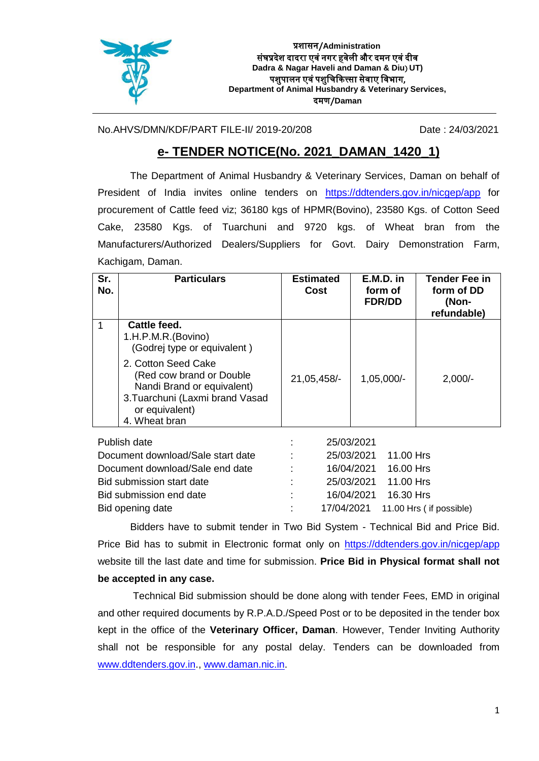

No.AHVS/DMN/KDF/PART FILE-II/ 2019-20/208 Date : 24/03/2021

## **e- TENDER NOTICE(No. 2021\_DAMAN\_1420\_1)**

The Department of Animal Husbandry & Veterinary Services, Daman on behalf of President of India invites online tenders on <https://ddtenders.gov.in/nicgep/app> for procurement of Cattle feed viz; 36180 kgs of HPMR(Bovino), 23580 Kgs. of Cotton Seed Cake, 23580 Kgs. of Tuarchuni and 9720 kgs. of Wheat bran from the Manufacturers/Authorized Dealers/Suppliers for Govt. Dairy Demonstration Farm, Kachigam, Daman.

| Sr.<br>No. | <b>Particulars</b>                                                                                                                                  | <b>Estimated</b><br>Cost | $E.M.D.$ in<br>form of<br><b>FDR/DD</b> | <b>Tender Fee in</b><br>form of DD<br>(Non-<br>refundable) |
|------------|-----------------------------------------------------------------------------------------------------------------------------------------------------|--------------------------|-----------------------------------------|------------------------------------------------------------|
|            | Cattle feed.<br>1.H.P.M.R.(Bovino)<br>(Godrej type or equivalent)                                                                                   |                          |                                         |                                                            |
|            | 2. Cotton Seed Cake<br>(Red cow brand or Double<br>Nandi Brand or equivalent)<br>3. Tuarchuni (Laxmi brand Vasad<br>or equivalent)<br>4. Wheat bran | 21,05,458/-              | $1,05,000/-$                            | $2,000/-$                                                  |

| Publish date                      |                | 25/03/2021           |                                     |
|-----------------------------------|----------------|----------------------|-------------------------------------|
| Document download/Sale start date | <b>COLLEGE</b> | 25/03/2021 11.00 Hrs |                                     |
| Document download/Sale end date   | diam.          | 16/04/2021 16.00 Hrs |                                     |
| Bid submission start date         | <b>COLLEGE</b> | 25/03/2021 11.00 Hrs |                                     |
| Bid submission end date           | di s           | 16/04/2021 16.30 Hrs |                                     |
| Bid opening date                  |                |                      | 17/04/2021  11.00 Hrs (if possible) |

Bidders have to submit tender in Two Bid System - Technical Bid and Price Bid. Price Bid has to submit in Electronic format only on <https://ddtenders.gov.in/nicgep/app> website till the last date and time for submission. **Price Bid in Physical format shall not be accepted in any case.**

Technical Bid submission should be done along with tender Fees, EMD in original and other required documents by R.P.A.D./Speed Post or to be deposited in the tender box kept in the office of the **Veterinary Officer, Daman**. However, Tender Inviting Authority shall not be responsible for any postal delay. Tenders can be downloaded from [www.ddtenders.gov.in.](http://www.ddtenders.gov.in/), [www.daman.nic.in.](http://www.daman.nic.in/)